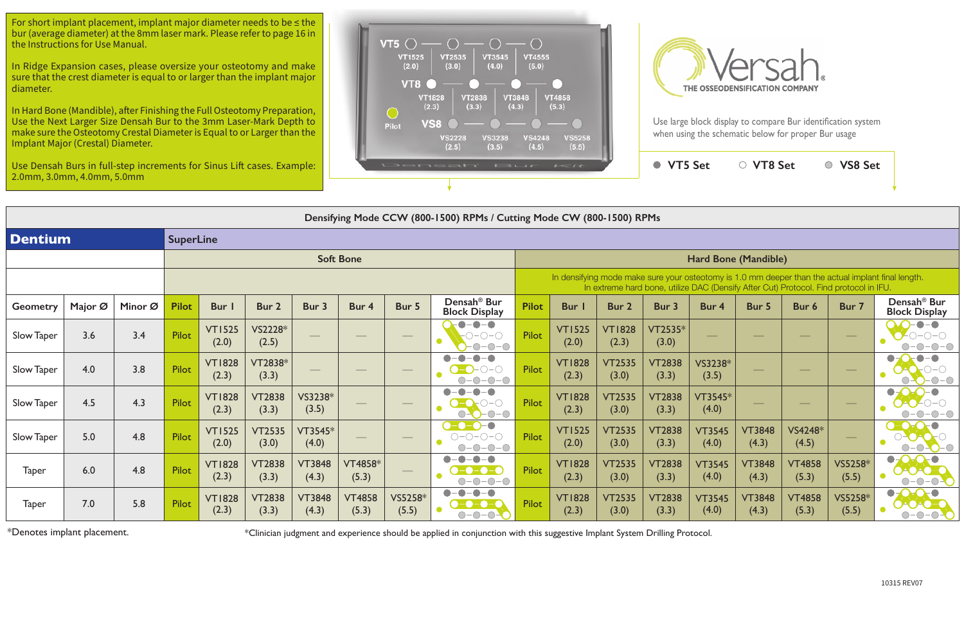

|                 |         |         |                  |                        |                        |                        |                         |                  | Densifying Mode CCW (800-1500) RPMs / Cutting Mode CW (800-1500) RPMs                                                                                                                                                                                                                                                                                                                                                                                   |              |                        |                        |                        |                        |                        |                                                                                       |                  |                                                                                                    |
|-----------------|---------|---------|------------------|------------------------|------------------------|------------------------|-------------------------|------------------|---------------------------------------------------------------------------------------------------------------------------------------------------------------------------------------------------------------------------------------------------------------------------------------------------------------------------------------------------------------------------------------------------------------------------------------------------------|--------------|------------------------|------------------------|------------------------|------------------------|------------------------|---------------------------------------------------------------------------------------|------------------|----------------------------------------------------------------------------------------------------|
| <b>Dentium</b>  |         |         | <b>SuperLine</b> |                        |                        |                        |                         |                  |                                                                                                                                                                                                                                                                                                                                                                                                                                                         |              |                        |                        |                        |                        |                        |                                                                                       |                  |                                                                                                    |
|                 |         |         |                  |                        |                        |                        | <b>Soft Bone</b>        |                  |                                                                                                                                                                                                                                                                                                                                                                                                                                                         |              |                        |                        |                        | Hard Bone (Mandible)   |                        |                                                                                       |                  |                                                                                                    |
|                 |         |         |                  |                        |                        |                        |                         |                  |                                                                                                                                                                                                                                                                                                                                                                                                                                                         |              |                        |                        |                        |                        |                        | In extreme hard bone, utilize DAC (Densify After Cut) Protocol. Find protocol in IFU. |                  | In densifying mode make sure your osteotomy is 1.0 mm deeper than the actual implant final length. |
| <b>Geometry</b> | Major Ø | Minor Ø | <b>Pilot</b>     | Bur I                  | Bur 2                  | Bur 3                  | Bur 4                   | Bur 5            | Densah <sup>®</sup> Bur<br><b>Block Display</b>                                                                                                                                                                                                                                                                                                                                                                                                         | <b>Pilot</b> | <b>Bur</b>             | Bur 2                  | Bur 3                  | Bur 4                  | Bur 5                  | Bur 6                                                                                 | Bur 7            | Densah <sup>®</sup> Bur<br><b>Block Display</b>                                                    |
| Slow Taper      | 3.6     | 3.4     | <b>Pilot</b>     | <b>VT1525</b><br>(2.0) | VS2228*<br>(2.5)       |                        |                         |                  | $\bullet$<br>D<br>- 0<br>$O-O-O$<br>$-O$ - $O$                                                                                                                                                                                                                                                                                                                                                                                                          | <b>Pilot</b> | <b>VT1525</b><br>(2.0) | <b>VT1828</b><br>(2.3) | VT2535*<br>(3.0)       |                        |                        |                                                                                       |                  | $\bullet$<br>$ \bullet$<br>$\bigcirc - ($                                                          |
| Slow Taper      | 4.0     | 3.8     | <b>Pilot</b>     | <b>VT1828</b><br>(2.3) | VT2838*<br>(3.3)       |                        |                         |                  | $\bigcap -\bigcap$<br>$\bigcirc$<br>$\bigcirc$                                                                                                                                                                                                                                                                                                                                                                                                          | <b>Pilot</b> | <b>VT1828</b><br>(2.3) | <b>VT2535</b><br>(3.0) | <b>VT2838</b><br>(3.3) | VS3238*<br>(3.5)       |                        |                                                                                       |                  |                                                                                                    |
| Slow Taper      | 4.5     | 4.3     | <b>Pilot</b>     | <b>VT1828</b><br>(2.3) | <b>VT2838</b><br>(3.3) | VS3238*<br>(3.5)       |                         | $\frac{1}{2}$    | $\bullet$<br>$\bigcirc$                                                                                                                                                                                                                                                                                                                                                                                                                                 | <b>Pilot</b> | <b>VT1828</b><br>(2.3) | <b>VT2535</b><br>(3.0) | <b>VT2838</b><br>(3.3) | $VT3545*$<br>(4.0)     |                        |                                                                                       |                  | $\bullet$                                                                                          |
| Slow Taper      | 5.0     | 4.8     | Pilot            | <b>VT1525</b><br>(2.0) | <b>VT2535</b><br>(3.0) | VT3545*<br>(4.0)       |                         |                  | $\overline{\bullet}$<br>$\bigcirc\negmedspace-\bigcirc\negmedspace-\bigcirc\negmedspace-\bigcirc$<br>$-0-0-0$<br>∩-                                                                                                                                                                                                                                                                                                                                     | <b>Pilot</b> | <b>VT1525</b><br>(2.0) | <b>VT2535</b><br>(3.0) | <b>VT2838</b><br>(3.3) | <b>VT3545</b><br>(4.0) | <b>VT3848</b><br>(4.3) | VS4248*<br>(4.5)                                                                      |                  |                                                                                                    |
| <b>Taper</b>    | 6.0     | 4.8     | <b>Pilot</b>     | <b>VT1828</b><br>(2.3) | <b>VT2838</b><br>(3.3) | <b>VT3848</b><br>(4.3) | <b>VT4858*</b><br>(5.3) |                  | $\begin{array}{c} \bullet \\ \bullet \end{array}$<br>-0-0<br>-0-0<br>$-O$ - $O$<br>$-\bigcirc$<br>∩-                                                                                                                                                                                                                                                                                                                                                    | Pilot        | <b>VT1828</b><br>(2.3) | <b>VT2535</b><br>(3.0) | <b>VT2838</b><br>(3.3) | <b>VT3545</b><br>(4.0) | <b>VT3848</b><br>(4.3) | <b>VT4858</b><br>(5.3)                                                                | VS5258*<br>(5.5) | $\bullet$<br>$O-O-$                                                                                |
| <b>Taper</b>    | 7.0     | 5.8     | Pilot            | <b>VT1828</b><br>(2.3) | <b>VT2838</b><br>(3.3) | <b>VT3848</b><br>(4.3) | <b>VT4858</b><br>(5.3)  | VS5258*<br>(5.5) | $\begin{array}{c} \bullet \\ \bullet \end{array}$<br>$\frac{1}{2} \sum_{i=1}^n \frac{1}{2} \sum_{j=1}^n \frac{1}{2} \sum_{j=1}^n \frac{1}{2} \sum_{j=1}^n \frac{1}{2} \sum_{j=1}^n \frac{1}{2} \sum_{j=1}^n \frac{1}{2} \sum_{j=1}^n \frac{1}{2} \sum_{j=1}^n \frac{1}{2} \sum_{j=1}^n \frac{1}{2} \sum_{j=1}^n \frac{1}{2} \sum_{j=1}^n \frac{1}{2} \sum_{j=1}^n \frac{1}{2} \sum_{j=1}^n \frac{1}{2} \sum_{j=$<br>$\cdot$ $\bigcirc$ -<br>$-\bigcirc$ | Pilot        | <b>VT1828</b><br>(2.3) | <b>VT2535</b><br>(3.0) | <b>VT2838</b><br>(3.3) | <b>VT3545</b><br>(4.0) | <b>VT3848</b><br>(4.3) | <b>VT4858</b><br>(5.3)                                                                | VS5258*<br>(5.5) | $\bullet$<br>$-O -$<br>$\bigcirc$                                                                  |

| $\sim$                 |                        | <b>VT5 Set</b>                                                                        |                        | <b>VT8 Set</b>              |                        | <b>VS8 Set</b>   |                                                                                                    |
|------------------------|------------------------|---------------------------------------------------------------------------------------|------------------------|-----------------------------|------------------------|------------------|----------------------------------------------------------------------------------------------------|
|                        |                        |                                                                                       |                        |                             |                        |                  |                                                                                                    |
|                        | le CW (800-1500) RPMs  |                                                                                       |                        |                             |                        |                  |                                                                                                    |
|                        |                        |                                                                                       |                        |                             |                        |                  |                                                                                                    |
|                        |                        |                                                                                       |                        | <b>Hard Bone (Mandible)</b> |                        |                  |                                                                                                    |
|                        |                        | In extreme hard bone, utilize DAC (Densify After Cut) Protocol. Find protocol in IFU. |                        |                             |                        |                  | In densifying mode make sure your osteotomy is 1.0 mm deeper than the actual implant final length. |
| <b>Bur</b> I           | <b>Bur 2</b>           | Bur 3                                                                                 | Bur 4                  | Bur 5                       | Bur 6                  | Bur 7            | Densah <sup>®</sup> Bur<br><b>Block Display</b>                                                    |
| <b>VT1525</b><br>(2.0) | <b>VT1828</b><br>(2.3) | VT2535*<br>(3.0)                                                                      |                        |                             |                        |                  |                                                                                                    |
| <b>VT1828</b><br>(2.3) | <b>VT2535</b><br>(3.0) | <b>VT2838</b><br>(3.3)                                                                | VS3238*<br>(3.5)       |                             |                        |                  |                                                                                                    |
| <b>VT1828</b><br>(2.3) | <b>VT2535</b><br>(3.0) | <b>VT2838</b><br>(3.3)                                                                | VT3545*<br>(4.0)       |                             |                        |                  |                                                                                                    |
| <b>VT1525</b><br>(2.0) | <b>VT2535</b><br>(3.0) | <b>VT2838</b><br>(3.3)                                                                | <b>VT3545</b><br>(4.0) | <b>VT3848</b><br>(4.3)      | VS4248*<br>(4.5)       |                  |                                                                                                    |
| <b>VT1828</b><br>(2.3) | <b>VT2535</b><br>(3.0) | <b>VT2838</b><br>(3.3)                                                                | <b>VT3545</b><br>(4.0) | <b>VT3848</b><br>(4.3)      | <b>VT4858</b><br>(5.3) | VS5258*<br>(5.5) |                                                                                                    |
| <b>VT1828</b><br>(2.3) | <b>VT2535</b><br>(3.0) | <b>VT2838</b><br>(3.3)                                                                | <b>VT3545</b><br>(4.0) | <b>VT3848</b><br>(4.3)      | <b>VT4858</b><br>(5.3) | VS5258*<br>(5.5) |                                                                                                    |

\*Denotes implant placement.

\*Clinician judgment and experience should be applied in conjunction with this suggestive Implant System Drilling Protocol.

For short implant placement, implant major diameter needs to be ≤ the bur (average diameter) at the 8mm laser mark. Please refer to page 16 in the Instructions for Use Manual.

In Ridge Expansion cases, please oversize your osteotomy and make sure that the crest diameter is equal to or larger than the implant major diameter.

In Hard Bone (Mandible), after Finishing the Full Osteotomy Preparation, Use the Next Larger Size Densah Bur to the 3mm Laser-Mark Depth to make sure the Osteotomy Crestal Diameter is Equal to or Larger than the Implant Major (Crestal) Diameter.

Use Densah Burs in full-step increments for Sinus Lift cases. Example: 2.0mm, 3.0mm, 4.0mm, 5.0mm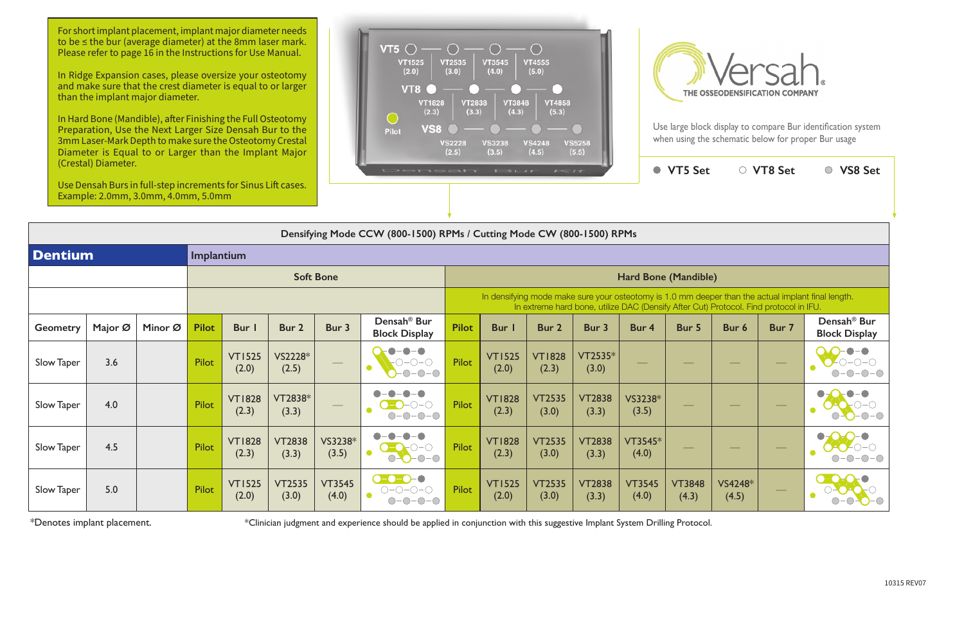In Hard Bone (Mandible), after Finishing the Full Osteotomy Preparation, Use the Next Larger Size Densah Bur to the 3mm Laser-Mark Depth to make sure the Osteotomy Crestal Diameter is Equal to or Larger than the Implant Major





Use large block display to compare Bur identification system when using the schematic below for proper Bur usage

|                | (Crestal) Diameter.<br>Use Densah Burs in full-step increments for Sinus Lift cases.<br>Example: 2.0mm, 3.0mm, 4.0mm, 5.0mm |         |              |                        |                        |                        | Now was the same book of the first contract of the same of the same of the same of the same of the same of the |              |                        |                        |                        | $\bullet$              | <b>VT5 Set</b>         |                                                                                       | ○ VT8 Set | ○ VS8 Set                                                                                          |
|----------------|-----------------------------------------------------------------------------------------------------------------------------|---------|--------------|------------------------|------------------------|------------------------|----------------------------------------------------------------------------------------------------------------|--------------|------------------------|------------------------|------------------------|------------------------|------------------------|---------------------------------------------------------------------------------------|-----------|----------------------------------------------------------------------------------------------------|
|                |                                                                                                                             |         |              |                        |                        |                        | Densifying Mode CCW (800-1500) RPMs / Cutting Mode CW (800-1500) RPMs                                          |              |                        |                        |                        |                        |                        |                                                                                       |           |                                                                                                    |
| <b>Dentium</b> |                                                                                                                             |         | Implantium   |                        |                        |                        |                                                                                                                |              |                        |                        |                        |                        |                        |                                                                                       |           |                                                                                                    |
|                |                                                                                                                             |         |              |                        |                        | <b>Soft Bone</b>       |                                                                                                                |              |                        |                        |                        | Hard Bone (Mandible)   |                        |                                                                                       |           |                                                                                                    |
|                |                                                                                                                             |         |              |                        |                        |                        |                                                                                                                |              |                        |                        |                        |                        |                        | In extreme hard bone, utilize DAC (Densify After Cut) Protocol. Find protocol in IFU. |           | In densifying mode make sure your osteotomy is 1.0 mm deeper than the actual implant final length. |
| Geometry       | Major Ø                                                                                                                     | Minor Ø | <b>Pilot</b> | Bur I                  | Bur 2                  | Bur 3                  | Densah <sup>®</sup> Bur<br><b>Block Display</b>                                                                | <b>Pilot</b> | <b>Bur</b> I           | Bur 2                  | Bur 3                  | Bur 4                  | Bur 5                  | Bur 6                                                                                 | Bur 7     | Densah <sup>®</sup> Bur<br><b>Block Display</b>                                                    |
| Slow Taper     | 3.6                                                                                                                         |         | Pilot        | <b>VT1525</b><br>(2.0) | VS2228*<br>(2.5)       |                        | $\bigcap -\bigcap -\bigcap$<br>$-O$ - $O$<br>$\bigcap$                                                         | Pilot        | <b>VT1525</b><br>(2.0) | <b>VT1828</b><br>(2.3) | VT2535*<br>(3.0)       |                        |                        |                                                                                       |           |                                                                                                    |
| Slow Taper     | 4.0                                                                                                                         |         | <b>Pilot</b> | <b>VT1828</b><br>(2.3) | VT2838*<br>(3.3)       |                        | $-\bigcap$<br>$-\bigcap -\bigcap$<br>$\bigcap$                                                                 | Pilot        | <b>VT1828</b><br>(2.3) | <b>VT2535</b><br>(3.0) | <b>VT2838</b><br>(3.3) | VS3238*<br>(3.5)       |                        |                                                                                       |           |                                                                                                    |
| Slow Taper     | 4.5                                                                                                                         |         | Pilot        | <b>VT1828</b><br>(2.3) | <b>VT2838</b><br>(3.3) | VS3238*<br>(3.5)       | $O-O-O-O$                                                                                                      | Pilot        | <b>VT1828</b><br>(2.3) | <b>VT2535</b><br>(3.0) | <b>VT2838</b><br>(3.3) | $VT3545*$<br>(4.0)     |                        |                                                                                       |           |                                                                                                    |
| Slow Taper     | 5.0                                                                                                                         |         | Pilot        | <b>VT1525</b><br>(2.0) | <b>VT2535</b><br>(3.0) | <b>VT3545</b><br>(4.0) | $O-O-O-O$<br>$ \bigcirc$ $ \bigcirc$                                                                           | Pilot        | <b>VT1525</b><br>(2.0) | <b>VT2535</b><br>(3.0) | <b>VT2838</b><br>(3.3) | <b>VT3545</b><br>(4.0) | <b>VT3848</b><br>(4.3) | VS4248*<br>(4.5)                                                                      |           |                                                                                                    |

\*Denotes implant placement.

\*Clinician judgment and experience should be applied in conjunction with this suggestive Implant System Drilling Protocol.

For short implant placement, implant major diameter needs to be ≤ the bur (average diameter) at the 8mm laser mark. Please refer to page 16 in the Instructions for Use Manual.

In Ridge Expansion cases, please oversize your osteotomy and make sure that the crest diameter is equal to or larger than the implant major diameter.